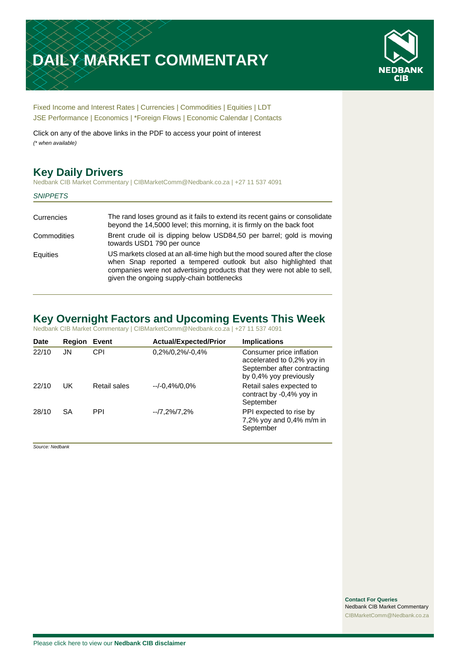# **DAILY MARKET COMMENTARY**



[Fixed Income and Interest Rates](#page-1-0) | [Currencies](#page-2-0) | [Commodities](#page-3-0) [| Equities](#page-4-0) | [LDT](#page-5-0) [JSE Performance](#page-6-0) [| Economics](#page-7-0) | [\\*Foreign Flows](#page-7-0) | [Economic Calendar](#page-7-0) | [Contacts](#page-8-0)

Click on any of the above links in the PDF to access your point of interest *(\* when available)*

# **Key Daily Drivers**

Nedbank CIB Market Commentary | CIBMarketComm@Nedbank.co.za | +27 11 537 4091

|  | <b>SNIPPETS</b> |
|--|-----------------|
|--|-----------------|

| Currencies  | The rand loses ground as it fails to extend its recent gains or consolidate<br>beyond the 14,5000 level; this morning, it is firmly on the back foot                                                                                                                   |
|-------------|------------------------------------------------------------------------------------------------------------------------------------------------------------------------------------------------------------------------------------------------------------------------|
| Commodities | Brent crude oil is dipping below USD84,50 per barrel; gold is moving<br>towards USD1 790 per ounce                                                                                                                                                                     |
| Equities    | US markets closed at an all-time high but the mood soured after the close<br>when Snap reported a tempered outlook but also highlighted that<br>companies were not advertising products that they were not able to sell,<br>given the ongoing supply-chain bottlenecks |

# **Key Overnight Factors and Upcoming Events This Week**

Nedbank CIB Market Commentary | CIBMarketComm@Nedbank.co.za | +27 11 537 4091

| <b>Date</b> | <b>Region</b> | Event        | <b>Actual/Expected/Prior</b> | <b>Implications</b>                                                                                             |
|-------------|---------------|--------------|------------------------------|-----------------------------------------------------------------------------------------------------------------|
| 22/10       | JN            | CPI          | $0,2\%/0,2\%/0,4\%$          | Consumer price inflation<br>accelerated to 0,2% yoy in<br>September after contracting<br>by 0,4% yoy previously |
| 22/10       | UK            | Retail sales | $-/-0.4\%/0.0\%$             | Retail sales expected to<br>contract by -0,4% yoy in<br>September                                               |
| 28/10       | <b>SA</b>     | PPI          | $-7,2\%/7,2\%$               | PPI expected to rise by<br>7,2% yoy and 0,4% m/m in<br>September                                                |

*Source: Nedbank*

**Contact For Queries** Nedbank CIB Market Commentary [CIBMarketComm@Nedbank.co.za](file:///C:/Users/Paul-Rose/AppData/Roaming/Bluecurve/templates/CIBMarketComm@Nedbank.co.za)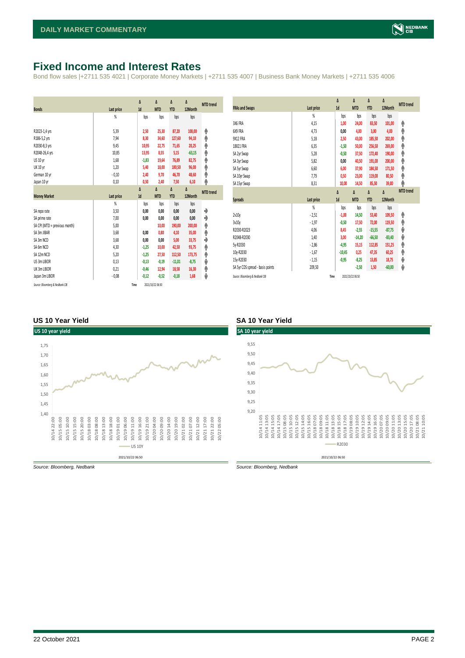## <span id="page-1-0"></span>**Fixed Income and Interest Rates**

Bond flow sales |+2711 535 4021 | Corporate Money Markets | +2711 535 4007 | Business Bank Money Markets | +2711 535 4006

| <b>Bonds</b>                  | Last price     | Δ<br>1d | Δ<br><b>MTD</b> | Δ<br><b>YTD</b> | Δ<br>12Month | <b>MTD</b> trend |
|-------------------------------|----------------|---------|-----------------|-----------------|--------------|------------------|
|                               | %              | bps     | bps             | bps             | bps          |                  |
| R2023-1,4 yrs                 | 5.39           | 2,50    | 25,30           | 87,20           | 108,00       | ۸                |
| R186-5,2 yrs                  | 7,94           | 8,30    | 34,60           | 127,60          | 94,10        | ۸                |
| R2030-8,3 yrs                 | 9,45           | 10,95   | 22,75           | 71,65           | 20,25        | φ                |
| R2048-26,4 yrs                | 10,85          | 13,95   | 8,55            | 5,15            | $-63,15$     | ۸                |
| <b>US 10 vr</b>               | 1,68           | $-1,83$ | 19,64           | 76,89           | 82,75        | φ                |
| <b>UK 10 yr</b>               | 1,20           | 5,40    | 18,00           | 100,50          | 96,00        | ۸                |
| German 10 yr                  | $-0,10$        | 2,40    | 9,70            | 46,70           | 48,60        | ۸                |
| Japan 10 yr                   | 0,10           | 0,50    | 2,40            | 7,50            | 6,10         | φ                |
|                               |                | Δ       | Δ               | Δ               | Δ            | <b>MTD</b> trend |
|                               |                |         |                 |                 |              |                  |
| <b>Money Market</b>           | Last price     | 1d      | <b>MTD</b>      | <b>YTD</b>      | 12Month      |                  |
|                               | $\frac{9}{20}$ | bps     | bps             | bps             | bps          |                  |
| SA reporate                   | 3,50           | 0,00    | 0,00            | 0,00            | 0,00         | ۰                |
| SA prime rate                 | 7,00           | 0,00    | 0,00            | 0,00            | 0,00         | ♦                |
| SA CPI (MTD = previous month) | 5,00           |         | 10,00           | 190,00          | 200,00       | ۸                |
| SA 3m JIBAR                   | 3,68           | 0,00    | 0,80            | 4,10            | 35,00        | ۸                |
| SA 3m NCD                     | 3,68           | 0,00    | 0,00            | 5,00            | 33,75        | ٠                |
| SA 6m NCD                     | 4,30           | $-1,25$ | 10,00           | 42,50           | 93,75        | ۸                |
| SA 12m NCD                    | 5,20           | $-1,25$ | 27,50           | 112,50          | 173,75       | ۸                |
| US 3m LIBOR                   | 0,13           | $-0,13$ | $-0,19$         | $-11,01$        | $-8,75$      | ψ                |
| UK 3m LIBOR                   | 0,21           | $-0,46$ | 12,94           | 18,58           | 16,30        | ۸                |
| Japan 3m LIBOR                | $-0,08$        | $-0,12$ | $-0,52$         | $-0,18$         | 1,68         | ψ                |

| <b>FRAs and Swaps</b>            | Last price | Δ<br>1d  | Δ<br><b>MTD</b> | Δ<br><b>YTD</b> | Δ<br>12Month | <b>MTD</b> trend |
|----------------------------------|------------|----------|-----------------|-----------------|--------------|------------------|
|                                  | %          | bps      | bps             | bps             | bps          |                  |
| 3X6 FRA                          | 4,15       | 1,00     | 24,00           | 83,50           | 101,00       | ۸                |
| 6X9 FRA                          | 4.73       | 0,00     | 4,00            | 3,00            | 4,00         | ۸                |
| 9X12 FRA                         | 5,18       | 2,50     | 43,00           | 185,50          | 202,00       | φ                |
| 18X21 FRA                        | 6,35       | $-1,50$  | 50,00           | 256,50          | 269,00       | ۸                |
| SA 2yr Swap                      | 5,28       | $-0,50$  | 37,50           | 172,40          | 190,00       | ۸                |
| SA 3yr Swap                      | 5,82       | 0,00     | 40,50           | 191,00          | 200,00       | φ                |
| SA 5yr Swap                      | 6,60       | 6,00     | 37,90           | 184,50          | 171,50       | ۸                |
| SA 10yr Swap                     | 7,79       | 0,50     | 23,00           | 119,00          | 80,50        | φ                |
| SA 15yr Swap                     | 8,31       | 10,00    | 14,50           | 85,50           | 39,00        | ۸                |
|                                  |            |          |                 |                 |              |                  |
|                                  |            | Δ        | Δ               | Δ               | Δ            | <b>MTD</b> trend |
| <b>Spreads</b>                   | Last price | 1d       | <b>MTD</b>      | <b>YTD</b>      | 12Month      |                  |
|                                  | %          | bps      | bps             | bps             | bps          |                  |
| 2v10v                            | $-2,51$    | $-1,00$  | 14,50           | 53,40           | 109,50       | ۸                |
| 3v10y                            | $-1,97$    | $-0,50$  | 17,50           | 72,00           | 119,50       | ۸                |
| R2030-R2023                      | 4,06       | 8,45     | $-2,55$         | $-15,55$        | $-87,75$     | ψ                |
| R2048-R2030                      | 1,40       | 3,00     | $-14,20$        | $-66,50$        | $-83,40$     | ψ                |
| 5y-R2030                         | $-2,86$    | $-4,95$  | 15,15           | 112,85          | 151,25       | φ                |
| 10y-R2030                        | $-1,67$    | $-10,45$ | 0,25            | 47,35           | 60,25        | ۸                |
| 15y-R2030                        | $-1,15$    | $-0.95$  | $-8,25$         | 13,85           | 18,75        | ψ                |
| SA 5yr CDS spread - basis points | 209,50     |          | $-2,50$         | 1,50            | $-60,00$     | ψ                |

#### **US 10 Year Yield SA 10 Year Yield**



*Source: Bloomberg, Nedbank Source: Bloomberg, Nedbank*

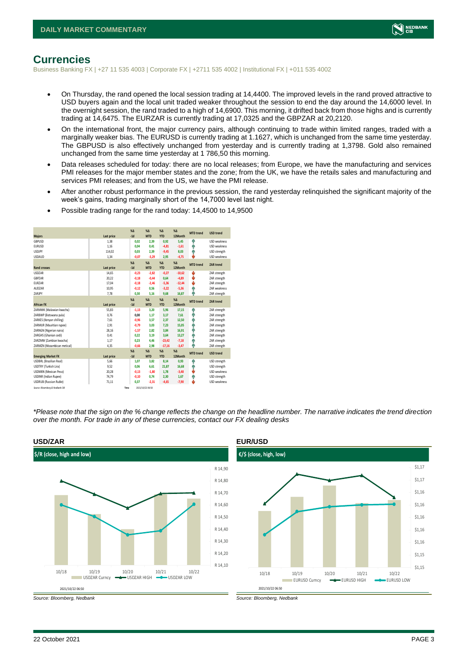

### <span id="page-2-0"></span>**Currencies**

Business Banking FX | +27 11 535 4003 | Corporate FX | +2711 535 4002 | Institutional FX | +011 535 4002

- On Thursday, the rand opened the local session trading at 14,4400. The improved levels in the rand proved attractive to USD buyers again and the local unit traded weaker throughout the session to end the day around the 14,6000 level. In the overnight session, the rand traded to a high of 14,6900. This morning, it drifted back from those highs and is currently trading at 14,6475. The EURZAR is currently trading at 17,0325 and the GBPZAR at 20,2120.
- On the international front, the major currency pairs, although continuing to trade within limited ranges, traded with a marginally weaker bias. The EURUSD is currently trading at 1.1627, which is unchanged from the same time yesterday. The GBPUSD is also effectively unchanged from yesterday and is currently trading at 1,3798. Gold also remained unchanged from the same time yesterday at 1 786,50 this morning.
- Data releases scheduled for today: there are no local releases; from Europe, we have the manufacturing and services PMI releases for the major member states and the zone; from the UK, we have the retails sales and manufacturing and services PMI releases; and from the US, we have the PMI release.
- After another robust performance in the previous session, the rand yesterday relinquished the significant majority of the week's gains, trading marginally short of the 14,7000 level last night.
- Possible trading range for the rand today: 14,4500 to 14,9500

|                                 |            | X <sub>A</sub> | X <sub>A</sub>   | $\%$ $\Lambda$ | %          | <b>MTD</b> trend | <b>USD trend</b>    |
|---------------------------------|------------|----------------|------------------|----------------|------------|------------------|---------------------|
| <b>Majors</b>                   | Last price | $-1d$          | <b>MTD</b>       | <b>YTD</b>     | 12Month    |                  |                     |
| GBPUSD                          | 1,38       | 0,02           | 2,39             | 0,92           | 5,45       | ٠                | USD weakness        |
| <b>EURUSD</b>                   | 1,16       | 0,04           | 0,41             | $-4,81$        | $-1,61$    | ٨                | <b>USD</b> weakness |
| <b>USDJPY</b>                   | 114,02     | 0.03           | 2.39             | $-9,45$        | 8,03       | ۸                | USD strength        |
| <b>USDAUD</b>                   | 1,34       | $-0.07$        | $-3,29$          | 2,95           | $-4,75$    | ı                | <b>USD</b> weakness |
|                                 |            | $X\Delta$      | $X\Delta$        | $% \Delta$     | $% \Delta$ | <b>MTD</b> trend | <b>ZAR trend</b>    |
| <b>Rand crosses</b>             | Last price | $-1d$          | <b>MTD</b>       | <b>YTD</b>     | 12Month    |                  |                     |
| <b>USDZAR</b>                   | 14,65      | $-0.23$        | $-2,82$          | $-0,27$        | $-10,62$   | J                | ZAR strength        |
| GBPZAR                          | 20,22      | $-0,18$        | $-0,44$          | 0,64           | $-4,89$    | ÷                | ZAR strength        |
| EURZAR                          | 17,04      | $-0,18$        | $-2,46$          | $-5,36$        | $-12,44$   | ÷                | ZAR strength        |
| AUDZAR                          | 10,95      | $-0,12$        | 0,56             | $-3,22$        | $-5,36$    | ÷                | <b>7AR</b> weakness |
| ZARJPY                          | 7,78       | 0,30           | 5,16             | 9,68           | 16,87      | ۸                | ZAR strength        |
|                                 |            | $X\Delta$      | $X\Delta$        | $% \Delta$     | $% \Delta$ | <b>MTD</b> trend | ZAR trend           |
| <b>African FX</b>               | Last price | $-1d$          | <b>MTD</b>       | <b>YTD</b>     | 12Month    |                  |                     |
| ZARMWK (Malawian kwacha)        | 55,83      | $-1,13$        | 3,20             | 5,96           | 17,15      | ٠                | ZAR strength        |
| ZARBWP (Botswana pula)          | 0,76       | 0,00           | 1,17             | 3,17           | 7,61       | Α                | ZAR strength        |
| ZARKES (Kenyan shilling)        | 7,61       | $-0,96$        | 3,57             | 2,37           | 12,50      | Φ                | ZAR strength        |
| ZARMUR (Mauritian rupee)        | 2,91       | $-0,79$        | 3,03             | 7,23           | 15,05      | ÷                | ZAR strength        |
| ZARNGN (Nigerian naira)         | 28,16      | $-1,57$        | 2,82             | 3,84           | 16,91      | ۸                | ZAR strength        |
| ZARGHS (Ghanian cedi)           | 0.41       | 0.22           | 3.19             | 3.64           | 13,27      | Φ                | ZAR strength        |
| ZARZMW (Zambian kwacha)         | 1,17       | 0,23           | 4,46             | $-23,42$       | $-7,18$    | ۸                | ZAR strength        |
| ZARMZN (Mozambican metical)     | 4,35       | $-0,66$        | 2,98             | $-17,16$       | $-3,47$    | ۸                | ZAR strength        |
|                                 |            | $X\Delta$      | $X\Delta$        | $% \Delta$     | $% \Delta$ | <b>MTD</b> trend |                     |
| <b>Emerging Market FX</b>       | Last price | $-1d$          | <b>MTD</b>       | <b>YTD</b>     | 12Month    |                  | <b>USD trend</b>    |
| <b>USDBRL (Brazilian Real)</b>  | 5.66       | 1.07           | 3.82             | 8,14           | 0.93       | ٠                | USD strength        |
| USDTRY (Turkish Lira)           | 9,52       | 0.06           | 6,61             | 21,87          | 16,68      | ۸                | USD strength        |
| <b>USDMXN (Mexican Peso)</b>    | 20,28      | $-0,13$        | $-1,80$          | 1,78           | $-3,48$    | ě                | USD weakness        |
| <b>USDINR</b> (Indian Rupee)    | 74,79      | $-0,10$        | 0,74             | 2,30           | 1,67       | ٠                | USD strength        |
| <b>USDRUB</b> (Russian Ruble)   | 71,11      | 0,37           | $-2,31$          | $-4,65$        | $-7,90$    | ı                | <b>USD</b> weakness |
| Source: Bloomberg & Nedbank CIB | Time       |                | 2021/10/22 06:50 |                |            |                  |                     |

*\*Please note that the sign on the % change reflects the change on the headline number. The narrative indicates the trend direction over the month. For trade in any of these currencies, contact our FX dealing desks*





*Source: Bloomberg, Nedbank Source: Bloomberg, Nedbank*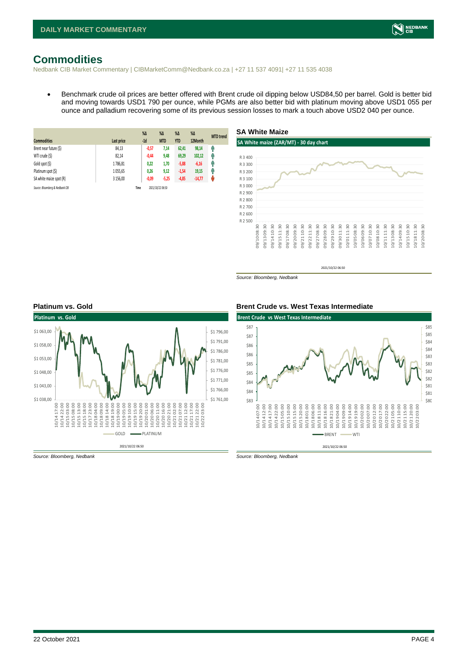# <span id="page-3-0"></span>**Commodities**

Nedbank CIB Market Commentary | CIBMarketComm@Nedbank.co.za | +27 11 537 4091| +27 11 535 4038

• Benchmark crude oil prices are better offered with Brent crude oil dipping below USD84,50 per barrel. Gold is better bid and moving towards USD1 790 per ounce, while PGMs are also better bid with platinum moving above USD1 055 per ounce and palladium recovering some of its previous session losses to mark a touch above USD2 040 per ounce.

| <b>Commodities</b>              | Last price | $%$ $\Delta$<br>$-1d$ | %Δ<br><b>MTD</b> | $%$ $\Delta$<br><b>YTD</b> | $%$ $\Delta$<br>12Month | <b>MTD</b> trend |
|---------------------------------|------------|-----------------------|------------------|----------------------------|-------------------------|------------------|
| Brent near future (\$)          | 84,13      | $-0,57$               | 7,14             | 62,41                      | 98,14                   | Ĥ                |
| WTI crude (\$)                  | 82,14      | $-0,44$               | 9,48             | 69,29                      | 102,12                  | Ĥ                |
| Gold spot (\$)                  | 1786,81    | 0,22                  | 1,70             | $-5,88$                    | $-6,16$                 | f                |
| Platinum spot (\$)              | 1055,65    | 0,26                  | 9,12             | $-1,54$                    | 19,15                   | Ĥ                |
| SA white maize spot (R)         | 3 156,00   | $-0,09$               | $-5,25$          | $-4,85$                    | $-14,77$                | W                |
| Source: Bloomberg & Nedbank CIB |            | Time                  | 2021/10/22 06:50 |                            |                         |                  |



*Source: Bloomberg, Nedbank*



**Platinum vs. Gold Brent Crude vs. West Texas Intermediate**



*Source: Bloomberg, Nedbank Source: Bloomberg, Nedbank*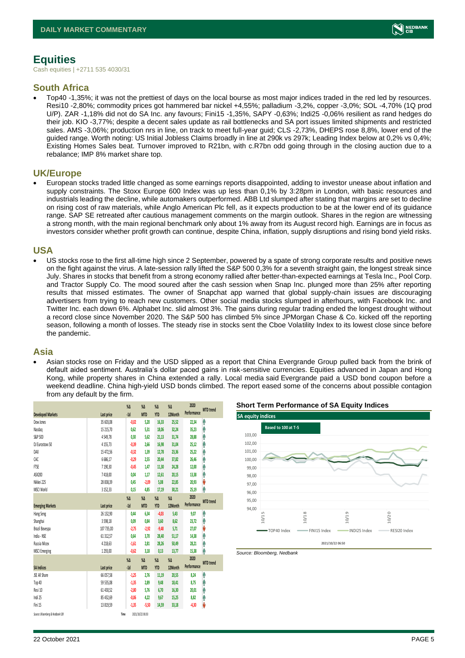# <span id="page-4-0"></span>**Equities**

Cash equities | +2711 535 4030/31

#### **South Africa**

• Top40 -1,35%; it was not the prettiest of days on the local bourse as most major indices traded in the red led by resources. Resi10 -2,80%; commodity prices got hammered bar nickel +4,55%; palladium -3,2%, copper -3,0%; SOL -4,70% (1Q prod U/P). ZAR -1,18% did not do SA Inc. any favours; Fini15 -1,35%, SAPY -0,63%; Indi25 -0,06% resilient as rand hedges do their job. KIO -3,77%; despite a decent sales update as rail bottlenecks and SA port issues limited shipments and restricted sales. AMS -3,06%; production nrs in line, on track to meet full-year guid; CLS -2,73%, DHEPS rose 8,8%, lower end of the guided range. Worth noting: US Initial Jobless Claims broadly in line at 290k vs 297k; Leading Index below at 0,2% vs 0,4%; Existing Homes Sales beat. Turnover improved to R21bn, with c.R7bn odd going through in the closing auction due to a rebalance; IMP 8% market share top.

#### **UK/Europe**

• European stocks traded little changed as some earnings reports disappointed, adding to investor unease about inflation and supply constraints. The Stoxx Europe 600 Index was up less than 0,1% by 3:28pm in London, with basic resources and industrials leading the decline, while automakers outperformed. ABB Ltd slumped after stating that margins are set to decline on rising cost of raw materials, while Anglo American Plc fell, as it expects production to be at the lower end of its guidance range. SAP SE retreated after cautious management comments on the margin outlook. Shares in the region are witnessing a strong month, with the main regional benchmark only about 1% away from its August record high. Earnings are in focus as investors consider whether profit growth can continue, despite China, inflation, supply disruptions and rising bond yield risks.

#### **USA**

• US stocks rose to the first all-time high since 2 September, powered by a spate of strong corporate results and positive news on the fight against the virus. A late-session rally lifted the S&P 500 0,3% for a seventh straight gain, the longest streak since July. Shares in stocks that benefit from a strong economy rallied after better-than-expected earnings at Tesla Inc., Pool Corp. and Tractor Supply Co. The mood soured after the cash session when Snap Inc. plunged more than 25% after reporting results that missed estimates. The owner of Snapchat app warned that global supply-chain issues are discouraging advertisers from trying to reach new customers. Other social media stocks slumped in afterhours, with Facebook Inc. and Twitter Inc. each down 6%. Alphabet Inc. slid almost 3%. The gains during regular trading ended the longest drought without a record close since November 2020. The S&P 500 has climbed 5% since JPMorgan Chase & Co. kicked off the reporting season, following a month of losses. The steady rise in stocks sent the Cboe Volatility Index to its lowest close since before the pandemic.

#### **Asia**

• Asian stocks rose on Friday and the USD slipped as a report that China Evergrande Group pulled back from the brink of default aided sentiment. Australia's dollar paced gains in risk-sensitive currencies. Equities advanced in Japan and Hong Kong, while property shares in China extended a rally. Local media said Evergrande paid a USD bond coupon before a weekend deadline. China high-yield USD bonds climbed. The report eased some of the concerns about possible contagion from any default by the firm.

|                                 |               | $\%$ $\Delta$    | $\%$ $\Delta$    | $\%$ $\Delta$ | $\%$    | 2020        | <b>MTD</b> trend |
|---------------------------------|---------------|------------------|------------------|---------------|---------|-------------|------------------|
| <b>Developed Markets</b>        | Last price    | $-1d$            | <b>MTD</b>       | <b>YTD</b>    | 12Month | Performance |                  |
| Dow Jones                       | 35 603.08     | $-0.02$          | 5,20             | 16,33         | 25,52   | 22,34       | ٨                |
| Nasdao                          | 15 215,70     | 0.62             | 5.31             | 18,06         | 32,24   | 35,23       | Λ                |
| S&P 500                         | 4549,78       | 0.30             | 5.62             | 21,13         | 31,74   | 28,88       | Λ                |
| DJ Eurostoxx 50                 | 4155.73       | $-0,39$          | 2.66             | 16,98         | 31,04   | 25,12       | ٨                |
| DAX                             | 15 472,56     | $-0.32$          | 1,39             | 12,78         | 23,36   | 25,22       | Α                |
| CAC                             | 6686,17       | $-0.29$          | 2.55             | 20,44         | 37,82   | 26,46       | Ĥ                |
| FTSE                            | 7 190,30      | $-0.45$          | 1,47             | 11,30         | 24,28   | 12,00       | ٨                |
| ASX200                          | 7418,00       | 0,04             | 1.17             | 12,61         | 20,15   | 13,38       | ٨                |
| Nikkei 225                      | 28 838.39     | 0,45             | $-2,09$          | 5,08          | 22,85   | 20,93       | V                |
| MSCI World                      | 3 1 5 2 , 3 3 | 0,15             | 4,85             | 17,19         | 30,21   | 25,19       | ٨                |
|                                 |               | $\sqrt{\Lambda}$ | $\%$ $\Delta$    | $\%$ $\Delta$ | $\%$    | 2020        |                  |
| <b>Emerging Markets</b>         | Last price    | $-1d$            | <b>MTD</b>       | <b>YTD</b>    | 12Month | Performance | <b>MTD</b> trend |
| Hang Seng                       | 26 132,90     | 0,44             | 6,34             | $-4,03$       | 5,43    | 9,07        | ٨                |
| Shanghai                        | 3598,18       | 0,09             | 0,84             | 3,60          | 8,62    | 23,72       | Λ                |
| Brazil Bovespa                  | 107 735,00    | $-2,75$          | $-2,92$          | $-9,48$       | 5,71    | 27.07       | V                |
| India - NSE                     | 61 312,57     | 0,64             | 3,70             | 28,40         | 51,17   | 14,38       | ٨                |
| Russia Micex                    | 4 2 18,63     | $-1,61$          | 2.81             | 28,26         | 50,49   | 28,21       | Α                |
| <b>MSCI Emerging</b>            | 1293,00       | $-0.62$          | 3,18             | 0,13          | 13,77   | 15,38       | ٨                |
|                                 |               | $\%$ $\Delta$    | $\%$ $\Delta$    | $\%$ $\Delta$ | $\%$    | 2020        |                  |
| <b>SA Indices</b>               | Last price    | $-1d$            | <b>MTD</b>       | <b>YTD</b>    | 12Month | Performance | <b>MTD</b> trend |
| JSE All Share                   | 66 057,58     | $-1,25$          | 2,76             | 11,19         | 20,55   | 8,24        | ٨                |
| Top 40                          | 59 535,08     | $-1,35$          | 2,89             | 9,48          | 18,41   | 8,75        | Α                |
| Resi 10                         | 61 430,52     | $-2,80$          | 5.76             | 6,70          | 16,30   | 20,01       | Α                |
| Indi 25                         | 85 432,69     | $-0,06$          | 4.22             | 9,67          | 15,25   | 8,82        | Α                |
| Fini 15                         | 13 819,59     | $-1,35$          | $-5,50$          | 14,59         | 33,18   | $-4,30$     | V                |
| Source: Bloomberg & Nedbank CIB | Time          |                  | 2021/10/22 06:50 |               |         |             |                  |





*Source: Bloomberg, Nedbank*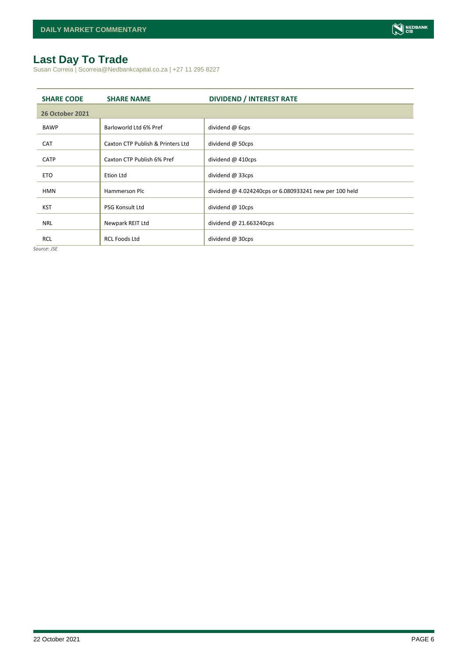# <span id="page-5-0"></span>**Last Day To Trade**

Susan Correia | Scorreia@Nedbankcapital.co.za | +27 11 295 8227

| <b>SHARE CODE</b>      | <b>SHARE NAME</b>                 | <b>DIVIDEND / INTEREST RATE</b>                        |
|------------------------|-----------------------------------|--------------------------------------------------------|
| <b>26 October 2021</b> |                                   |                                                        |
| <b>BAWP</b>            | Barloworld Ltd 6% Pref            | dividend @ 6cps                                        |
| <b>CAT</b>             | Caxton CTP Publish & Printers Ltd | dividend $@$ 50cps                                     |
| <b>CATP</b>            | Caxton CTP Publish 6% Pref        | dividend $@$ 410cps                                    |
| <b>ETO</b>             | Etion Ltd                         | dividend @ 33cps                                       |
| <b>HMN</b>             | Hammerson Plc                     | dividend @ 4.024240cps or 6.080933241 new per 100 held |
| <b>KST</b>             | <b>PSG Konsult Ltd</b>            | dividend @ 10cps                                       |
|                        |                                   |                                                        |
| <b>NRL</b>             | Newpark REIT Ltd                  | dividend $@$ 21.663240cps                              |
| <b>RCL</b>             | <b>RCL Foods Ltd</b>              | dividend @ 30cps                                       |

*Source: JSE*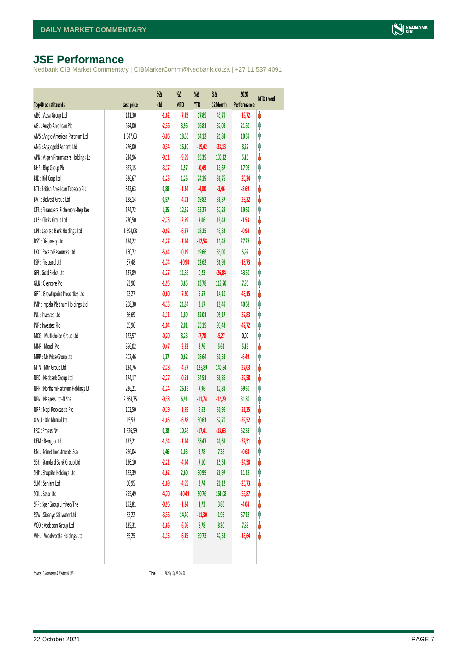# <span id="page-6-0"></span>**JSE Performance**

Nedbank CIB Market Commentary | CIBMarketComm@Nedbank.co.za | +27 11 537 4091

|                                    |            | $\%$ $\Delta$ | %Δ         | %Δ         | %Δ       | 2020        | <b>MTD</b> trend |
|------------------------------------|------------|---------------|------------|------------|----------|-------------|------------------|
| <b>Top40 constituents</b>          | Last price | $-1d$         | <b>MTD</b> | <b>YTD</b> | 12Month  | Performance |                  |
| ABG: Absa Group Ltd                | 141,30     | $-1,62$       | $-7,45$    | 17,89      | 43,79    | $-19,72$    | V                |
| AGL: Anglo American Plc            | 554,00     | $-2,36$       | 3,96       | 16,81      | 37,09    | 21,60       | φ                |
| AMS: Anglo American Platinum Ltd   | 1547,63    | $-3,06$       | 18,65      | 14,12      | 21,84    | 10,39       | φ                |
| ANG: Anglogold Ashanti Ltd         | 276,00     | $-0,34$       | 16,10      | $-19,42$   | $-33,13$ | 8,22        | φ                |
| APN : Aspen Pharmacare Holdings Lt | 244,96     | $-0,11$       | $-9,59$    | 95,39      | 130,12   | 5,16        | V                |
| BHP: Bhp Group Plc                 | 387,15     | $-3,17$       | 1,57       | $-0,49$    | 13,67    | 17,98       | φ                |
| BID: Bid Corp Ltd                  | 326,67     | $-1,23$       | 1,26       | 24,19      | 36,76    | $-20,34$    | φ                |
| BTI: British American Tobacco Plc  | 523,63     | 0,88          | $-1,24$    | $-4,00$    | $-3,46$  | $-8,69$     | ψ                |
| BVT: Bidvest Group Ltd             | 188,14     | 0,57          | $-4,01$    | 19,82      | 36,37    | $-23,32$    | V                |
| CFR : Financiere Richemont-Dep Rec | 174,72     | 1,35          | 12,32      | 33,27      | 57,28    | 19,69       | φ                |
| CLS : Clicks Group Ltd             | 270,50     | $-2,73$       | $-2,59$    | 7,06       | 19,43    | $-1,53$     | ψ                |
| CPI : Capitec Bank Holdings Ltd    | 1694,08    | $-0,92$       | $-6,87$    | 18,25      | 43,32    | $-0,94$     | ψ                |
| DSY: Discovery Ltd                 | 134,22     | $-1,27$       | $-1,94$    | $-12,58$   | 11,45    | 27,28       | V                |
| EXX : Exxaro Resources Ltd         | 160,72     | $-5,44$       | $-0,19$    | 19,66      | 33,00    | 5,92        | V                |
| FSR: Firstrand Ltd                 | 57,48      | $-1,74$       | $-10,90$   | 12,62      | 36,95    | $-18,73$    | ψ                |
| GFI: Gold Fields Ltd               | 137,89     | $-1,27$       | 11,85      | 0,23       | $-26,84$ | 43,50       | φ                |
| GLN : Glencore Plc                 | 73,90      | $-1,95$       | 3,85       | 63,78      | 119,70   | 7,95        | φ                |
| GRT : Growthpoint Properties Ltd   | 13,27      | $-0,60$       | $-7,20$    | 5,57       | 14,10    | $-43,15$    | ♦                |
| IMP : Impala Platinum Holdings Ltd | 208,30     | $-4,33$       | 21,34      | 3,17       | 19,49    | 40,68       | φ                |
| INL: Investec Ltd                  | 66,69      | $-1,11$       | 1,89       | 82,01      | 95,17    | $-37,83$    | φ                |
| INP: Investec Plc                  | 65,96      | $-1,04$       | 2,01       | 75,19      | 93,43    | $-42,72$    | Λ                |
| MCG: Multichoice Group Ltd         | 123,57     | $-0,20$       | 8,23       | $-7,78$    | $-5,27$  | 0,00        | φ                |
| MNP: Mondi Plc                     | 356,02     | $-0,47$       | $-3,83$    | 3,76       | 5,61     | 5,16        | ψ                |
| MRP : Mr Price Group Ltd           | 202,46     | 1,27          | 0,62       | 18,64      | 50,33    | $-6,49$     | φ                |
| MTN: Mtn Group Ltd                 | 134,76     | $-2,78$       | $-4,67$    | 123,89     | 140,34   | $-27,03$    | ψ                |
| NED : Nedbank Group Ltd            | 174,17     | $-2,27$       | $-0,51$    | 34,51      | 66,86    | $-39,58$    | V                |
| NPH : Northam Platinum Holdings Lt | 226,21     | $-1,24$       | 26,15      | 7,96       | 17,81    | 69,50       | φ                |
| NPN : Naspers Ltd-N Shs            | 2664,75    | $-0,38$       | 6,91       | $-11,74$   | $-12,29$ | 31,80       | φ                |
| NRP : Nepi Rockcastle Plc          | 102,50     | $-0,19$       | $-1,95$    | 9,63       | 50,96    | $-21,25$    | V                |
| OMU: Old Mutual Ltd                | 15,53      | $-1,65$       | $-6,28$    | 30,61      | 52,70    | $-39,52$    | ψ                |
| PRX: Prosus Nv                     | 1326,59    | 0,28          | 10,46      | $-17,41$   | $-13,63$ | 52,39       | φ                |
| REM : Remgro Ltd                   | 133,21     | $-1,34$       | $-1,94$    | 38,47      | 40,61    | $-32,51$    | V                |
| RNI : Reinet Investments Sca       | 286,04     | 1,46          | 1,03       | 3,78       | 7,33     | $-0,68$     | φ                |
| SBK: Standard Bank Group Ltd       | 136,10     | $-2,21$       | $-4,94$    | 7,10       | 15,34    | $-24,50$    | V                |
| SHP: Shoprite Holdings Ltd         | 183,39     | $-1,62$       | 2,60       | 30,99      | 26,97    | 11,18       | φ                |
| SLM : Sanlam Ltd                   | 60,95      | $-1,69$       | $-4,65$    | 3,74       | 20,12    | $-25,73$    | ψ                |
| SOL: Sasol Ltd                     | 255,49     | $-4,70$       | $-10,49$   | 90,76      | 161,08   | $-55,87$    | ψ                |
| SPP: Spar Group Limited/The        | 192,81     | $-0,96$       | $-1,84$    | 1,73       | 3,83     | $-4,04$     | ψ                |
| SSW : Sibanye Stillwater Ltd       | 53,22      | $-3,36$       | 14,40      | $-11,30$   | 1,95     | 67,18       | Ĥ                |
| VOD: Vodacom Group Ltd             | 135,31     | $-1,66$       | $-6,06$    | 8,78       | 8,30     | 7,88        | V                |
| WHL: Woolworths Holdings Ltd       | 55,25      | $-1,15$       | $-6,45$    | 39,73      | 47,53    | $-18,64$    | V                |
|                                    |            |               |            |            |          |             |                  |

 $Source: Bloomberg & Nedbank *CB*$ 

Time 2021/10/22 06:50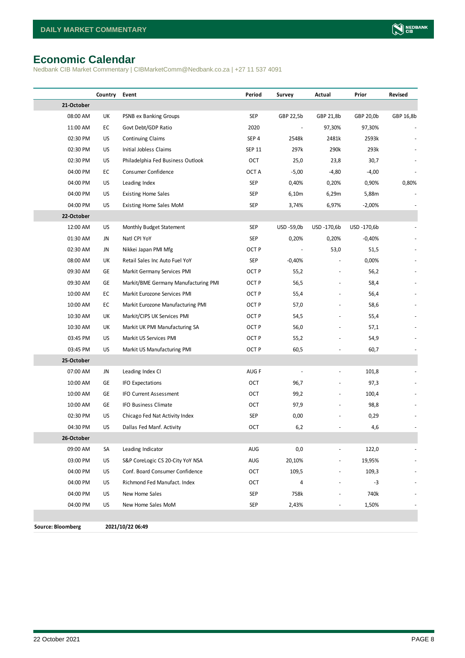# <span id="page-7-0"></span>**Economic Calendar**

Nedbank CIB Market Commentary | CIBMarketComm@Nedbank.co.za | +27 11 537 4091

|                          | Country | Event                                | Period           | Survey     | Actual      | Prior       | Revised   |
|--------------------------|---------|--------------------------------------|------------------|------------|-------------|-------------|-----------|
| 21-October               |         |                                      |                  |            |             |             |           |
| 08:00 AM                 | UK      | PSNB ex Banking Groups               | SEP              | GBP 22,5b  | GBP 21,8b   | GBP 20,0b   | GBP 16,8b |
| 11:00 AM                 | EC      | Govt Debt/GDP Ratio                  | 2020             |            | 97,30%      | 97,30%      |           |
| 02:30 PM                 | US      | <b>Continuing Claims</b>             | SEP <sub>4</sub> | 2548k      | 2481k       | 2593k       |           |
| 02:30 PM                 | US      | Initial Jobless Claims               | <b>SEP 11</b>    | 297k       | 290k        | 293k        |           |
| 02:30 PM                 | US      | Philadelphia Fed Business Outlook    | OCT              | 25,0       | 23,8        | 30,7        |           |
| 04:00 PM                 | EC      | Consumer Confidence                  | OCT A            | $-5,00$    | $-4,80$     | $-4,00$     |           |
| 04:00 PM                 | US      | Leading Index                        | <b>SEP</b>       | 0,40%      | 0,20%       | 0,90%       | 0,80%     |
| 04:00 PM                 | US      | <b>Existing Home Sales</b>           | SEP              | 6,10m      | 6,29m       | 5,88m       |           |
| 04:00 PM                 | US      | Existing Home Sales MoM              | SEP              | 3,74%      | 6,97%       | $-2,00%$    |           |
| 22-October               |         |                                      |                  |            |             |             |           |
| 12:00 AM                 | US      | Monthly Budget Statement             | SEP              | USD -59,0b | USD -170,6b | USD -170,6b |           |
| 01:30 AM                 | JN      | Natl CPI YoY                         | SEP              | 0,20%      | 0,20%       | $-0,40%$    |           |
| 02:30 AM                 | JN      | Nikkei Japan PMI Mfg                 | OCT <sub>P</sub> |            | 53,0        | 51,5        |           |
| 08:00 AM                 | UK      | Retail Sales Inc Auto Fuel YoY       | SEP              | $-0,40%$   |             | 0,00%       |           |
| 09:30 AM                 | GE      | Markit Germany Services PMI          | OCT <sub>P</sub> | 55,2       |             | 56,2        |           |
| 09:30 AM                 | GE      | Markit/BME Germany Manufacturing PMI | OCT <sub>P</sub> | 56,5       |             | 58,4        |           |
| 10:00 AM                 | EC      | Markit Eurozone Services PMI         | OCT <sub>P</sub> | 55,4       |             | 56,4        |           |
| 10:00 AM                 | EC      | Markit Eurozone Manufacturing PMI    | OCT <sub>P</sub> | 57,0       |             | 58,6        |           |
| 10:30 AM                 | UK      | Markit/CIPS UK Services PMI          | OCT <sub>P</sub> | 54,5       |             | 55,4        |           |
| 10:30 AM                 | UK      | Markit UK PMI Manufacturing SA       | OCT <sub>P</sub> | 56,0       |             | 57,1        |           |
| 03:45 PM                 | US      | Markit US Services PMI               | OCT <sub>P</sub> | 55,2       |             | 54,9        |           |
| 03:45 PM                 | US      | Markit US Manufacturing PMI          | OCT <sub>P</sub> | 60,5       |             | 60,7        |           |
| 25-October               |         |                                      |                  |            |             |             |           |
| 07:00 AM                 | JN      | Leading Index CI                     | AUG F            |            |             | 101,8       |           |
| 10:00 AM                 | GE      | IFO Expectations                     | OCT              | 96,7       |             | 97,3        |           |
| 10:00 AM                 | GE      | IFO Current Assessment               | OCT              | 99,2       |             | 100,4       |           |
| 10:00 AM                 | GE      | IFO Business Climate                 | OCT              | 97,9       |             | 98,8        |           |
| 02:30 PM                 | US      | Chicago Fed Nat Activity Index       | SEP              | 0,00       |             | 0,29        |           |
| 04:30 PM                 | US      | Dallas Fed Manf. Activity            | OCT              | 6,2        |             | 4,6         |           |
| 26-October               |         |                                      |                  |            |             |             |           |
| 09:00 AM                 | SA      | Leading Indicator                    | AUG              | 0,0        |             | 122,0       |           |
| 03:00 PM                 | US      | S&P CoreLogic CS 20-City YoY NSA     | AUG              | 20,10%     |             | 19,95%      |           |
| 04:00 PM                 | US      | Conf. Board Consumer Confidence      | OCT              | 109,5      |             | 109,3       |           |
| 04:00 PM                 | US      | Richmond Fed Manufact. Index         | OCT              | 4          |             | $-3$        |           |
| 04:00 PM                 | US      | New Home Sales                       | SEP              | 758k       |             | 740k        |           |
| 04:00 PM                 | US      | New Home Sales MoM                   | SEP              | 2,43%      |             | 1,50%       |           |
|                          |         |                                      |                  |            |             |             |           |
| <b>Source: Bloomberg</b> |         | 2021/10/22 06:49                     |                  |            |             |             |           |